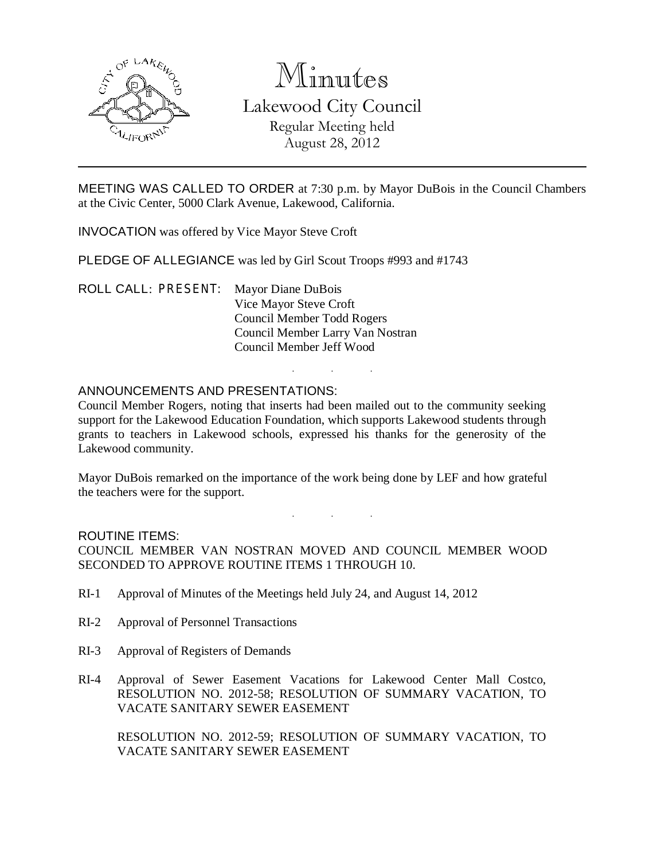

# Minutes

Lakewood City Council Regular Meeting held August 28, 2012

MEETING WAS CALLED TO ORDER at 7:30 p.m. by Mayor DuBois in the Council Chambers at the Civic Center, 5000 Clark Avenue, Lakewood, California.

INVOCATION was offered by Vice Mayor Steve Croft

PLEDGE OF ALLEGIANCE was led by Girl Scout Troops #993 and #1743

ROLL CALL: PRESENT: Mayor Diane DuBois Vice Mayor Steve Croft Council Member Todd Rogers Council Member Larry Van Nostran Council Member Jeff Wood

## ANNOUNCEMENTS AND PRESENTATIONS:

Council Member Rogers, noting that inserts had been mailed out to the community seeking support for the Lakewood Education Foundation, which supports Lakewood students through grants to teachers in Lakewood schools, expressed his thanks for the generosity of the Lakewood community.

. . .

Mayor DuBois remarked on the importance of the work being done by LEF and how grateful the teachers were for the support.

. . .

#### ROUTINE ITEMS:

COUNCIL MEMBER VAN NOSTRAN MOVED AND COUNCIL MEMBER WOOD SECONDED TO APPROVE ROUTINE ITEMS 1 THROUGH 10.

- RI-1 Approval of Minutes of the Meetings held July 24, and August 14, 2012
- RI-2 Approval of Personnel Transactions
- RI-3 Approval of Registers of Demands
- RI-4 Approval of Sewer Easement Vacations for Lakewood Center Mall Costco, RESOLUTION NO. 2012-58; RESOLUTION OF SUMMARY VACATION, TO VACATE SANITARY SEWER EASEMENT

RESOLUTION NO. 2012-59; RESOLUTION OF SUMMARY VACATION, TO VACATE SANITARY SEWER EASEMENT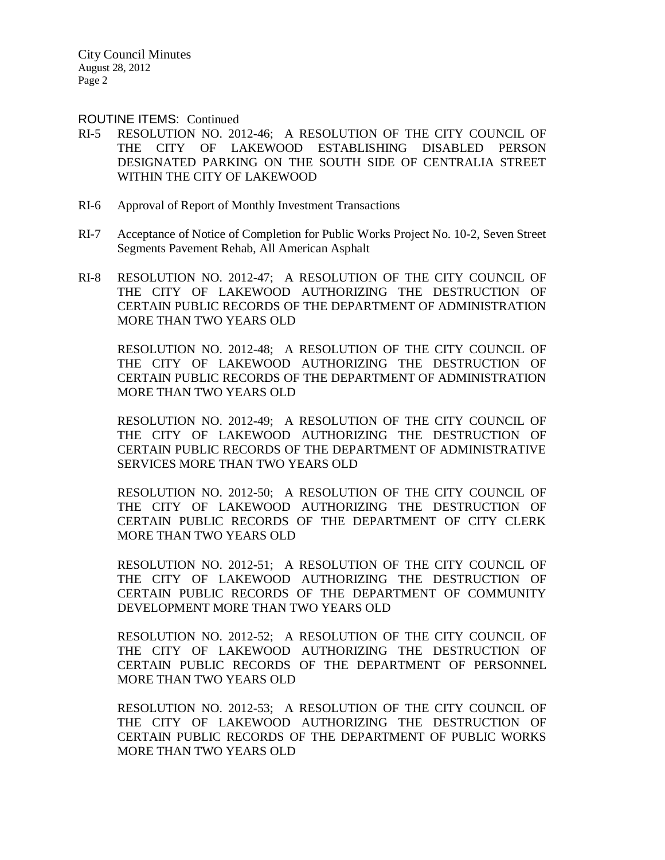ROUTINE ITEMS: Continued

- RI-5 RESOLUTION NO. 2012-46; A RESOLUTION OF THE CITY COUNCIL OF THE CITY OF LAKEWOOD ESTABLISHING DISABLED PERSON DESIGNATED PARKING ON THE SOUTH SIDE OF CENTRALIA STREET WITHIN THE CITY OF LAKEWOOD
- RI-6 Approval of Report of Monthly Investment Transactions
- RI-7 Acceptance of Notice of Completion for Public Works Project No. 10-2, Seven Street Segments Pavement Rehab, All American Asphalt
- RI-8 RESOLUTION NO. 2012-47; A RESOLUTION OF THE CITY COUNCIL OF THE CITY OF LAKEWOOD AUTHORIZING THE DESTRUCTION OF CERTAIN PUBLIC RECORDS OF THE DEPARTMENT OF ADMINISTRATION MORE THAN TWO YEARS OLD

RESOLUTION NO. 2012-48; A RESOLUTION OF THE CITY COUNCIL OF THE CITY OF LAKEWOOD AUTHORIZING THE DESTRUCTION OF CERTAIN PUBLIC RECORDS OF THE DEPARTMENT OF ADMINISTRATION MORE THAN TWO YEARS OLD

RESOLUTION NO. 2012-49; A RESOLUTION OF THE CITY COUNCIL OF THE CITY OF LAKEWOOD AUTHORIZING THE DESTRUCTION OF CERTAIN PUBLIC RECORDS OF THE DEPARTMENT OF ADMINISTRATIVE SERVICES MORE THAN TWO YEARS OLD

RESOLUTION NO. 2012-50; A RESOLUTION OF THE CITY COUNCIL OF THE CITY OF LAKEWOOD AUTHORIZING THE DESTRUCTION OF CERTAIN PUBLIC RECORDS OF THE DEPARTMENT OF CITY CLERK MORE THAN TWO YEARS OLD

RESOLUTION NO. 2012-51; A RESOLUTION OF THE CITY COUNCIL OF THE CITY OF LAKEWOOD AUTHORIZING THE DESTRUCTION OF CERTAIN PUBLIC RECORDS OF THE DEPARTMENT OF COMMUNITY DEVELOPMENT MORE THAN TWO YEARS OLD

RESOLUTION NO. 2012-52; A RESOLUTION OF THE CITY COUNCIL OF THE CITY OF LAKEWOOD AUTHORIZING THE DESTRUCTION OF CERTAIN PUBLIC RECORDS OF THE DEPARTMENT OF PERSONNEL MORE THAN TWO YEARS OLD

RESOLUTION NO. 2012-53; A RESOLUTION OF THE CITY COUNCIL OF THE CITY OF LAKEWOOD AUTHORIZING THE DESTRUCTION OF CERTAIN PUBLIC RECORDS OF THE DEPARTMENT OF PUBLIC WORKS MORE THAN TWO YEARS OLD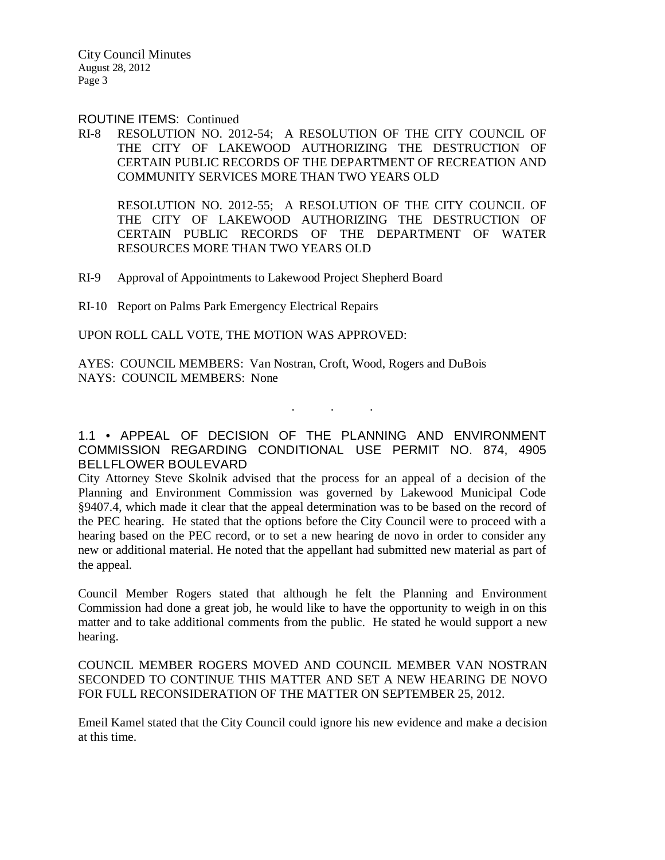ROUTINE ITEMS: Continued

RI-8 RESOLUTION NO. 2012-54; A RESOLUTION OF THE CITY COUNCIL OF THE CITY OF LAKEWOOD AUTHORIZING THE DESTRUCTION OF CERTAIN PUBLIC RECORDS OF THE DEPARTMENT OF RECREATION AND COMMUNITY SERVICES MORE THAN TWO YEARS OLD

RESOLUTION NO. 2012-55; A RESOLUTION OF THE CITY COUNCIL OF THE CITY OF LAKEWOOD AUTHORIZING THE DESTRUCTION OF CERTAIN PUBLIC RECORDS OF THE DEPARTMENT OF WATER RESOURCES MORE THAN TWO YEARS OLD

RI-9 Approval of Appointments to Lakewood Project Shepherd Board

RI-10 Report on Palms Park Emergency Electrical Repairs

UPON ROLL CALL VOTE, THE MOTION WAS APPROVED:

AYES: COUNCIL MEMBERS: Van Nostran, Croft, Wood, Rogers and DuBois NAYS: COUNCIL MEMBERS: None

1.1 • APPEAL OF DECISION OF THE PLANNING AND ENVIRONMENT COMMISSION REGARDING CONDITIONAL USE PERMIT NO. 874, 4905 BELLFLOWER BOULEVARD

. . .

City Attorney Steve Skolnik advised that the process for an appeal of a decision of the Planning and Environment Commission was governed by Lakewood Municipal Code §9407.4, which made it clear that the appeal determination was to be based on the record of the PEC hearing. He stated that the options before the City Council were to proceed with a hearing based on the PEC record, or to set a new hearing de novo in order to consider any new or additional material. He noted that the appellant had submitted new material as part of the appeal.

Council Member Rogers stated that although he felt the Planning and Environment Commission had done a great job, he would like to have the opportunity to weigh in on this matter and to take additional comments from the public. He stated he would support a new hearing.

COUNCIL MEMBER ROGERS MOVED AND COUNCIL MEMBER VAN NOSTRAN SECONDED TO CONTINUE THIS MATTER AND SET A NEW HEARING DE NOVO FOR FULL RECONSIDERATION OF THE MATTER ON SEPTEMBER 25, 2012.

Emeil Kamel stated that the City Council could ignore his new evidence and make a decision at this time.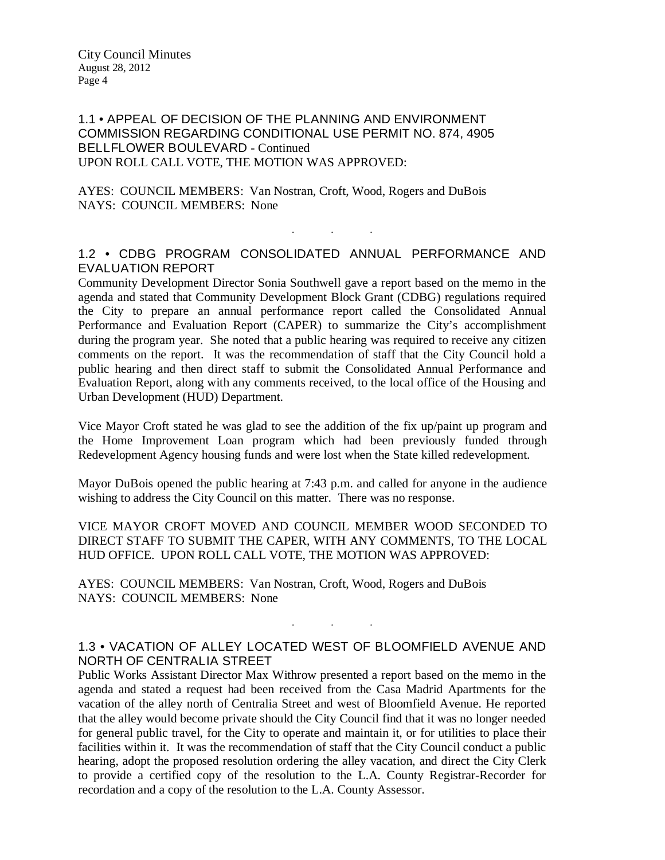## 1.1 • APPEAL OF DECISION OF THE PLANNING AND ENVIRONMENT COMMISSION REGARDING CONDITIONAL USE PERMIT NO. 874, 4905 BELLFLOWER BOULEVARD - Continued UPON ROLL CALL VOTE, THE MOTION WAS APPROVED:

AYES: COUNCIL MEMBERS: Van Nostran, Croft, Wood, Rogers and DuBois NAYS: COUNCIL MEMBERS: None

# 1.2 • CDBG PROGRAM CONSOLIDATED ANNUAL PERFORMANCE AND EVALUATION REPORT

. . .

Community Development Director Sonia Southwell gave a report based on the memo in the agenda and stated that Community Development Block Grant (CDBG) regulations required the City to prepare an annual performance report called the Consolidated Annual Performance and Evaluation Report (CAPER) to summarize the City's accomplishment during the program year. She noted that a public hearing was required to receive any citizen comments on the report. It was the recommendation of staff that the City Council hold a public hearing and then direct staff to submit the Consolidated Annual Performance and Evaluation Report, along with any comments received, to the local office of the Housing and Urban Development (HUD) Department.

Vice Mayor Croft stated he was glad to see the addition of the fix up/paint up program and the Home Improvement Loan program which had been previously funded through Redevelopment Agency housing funds and were lost when the State killed redevelopment.

Mayor DuBois opened the public hearing at 7:43 p.m. and called for anyone in the audience wishing to address the City Council on this matter. There was no response.

VICE MAYOR CROFT MOVED AND COUNCIL MEMBER WOOD SECONDED TO DIRECT STAFF TO SUBMIT THE CAPER, WITH ANY COMMENTS, TO THE LOCAL HUD OFFICE. UPON ROLL CALL VOTE, THE MOTION WAS APPROVED:

AYES: COUNCIL MEMBERS: Van Nostran, Croft, Wood, Rogers and DuBois NAYS: COUNCIL MEMBERS: None

# 1.3 • VACATION OF ALLEY LOCATED WEST OF BLOOMFIELD AVENUE AND NORTH OF CENTRALIA STREET

. . .

Public Works Assistant Director Max Withrow presented a report based on the memo in the agenda and stated a request had been received from the Casa Madrid Apartments for the vacation of the alley north of Centralia Street and west of Bloomfield Avenue. He reported that the alley would become private should the City Council find that it was no longer needed for general public travel, for the City to operate and maintain it, or for utilities to place their facilities within it. It was the recommendation of staff that the City Council conduct a public hearing, adopt the proposed resolution ordering the alley vacation, and direct the City Clerk to provide a certified copy of the resolution to the L.A. County Registrar-Recorder for recordation and a copy of the resolution to the L.A. County Assessor.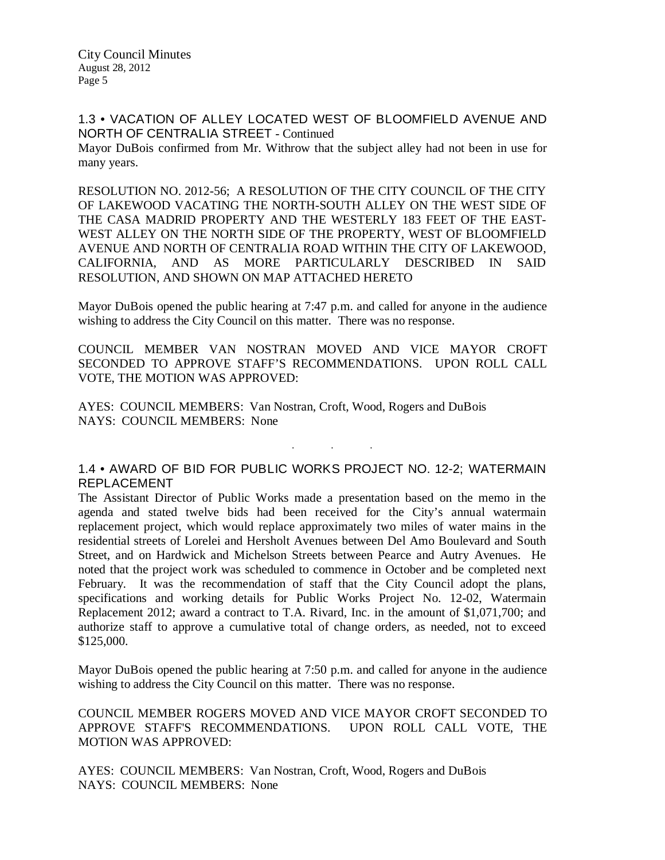1.3 • VACATION OF ALLEY LOCATED WEST OF BLOOMFIELD AVENUE AND NORTH OF CENTRALIA STREET - Continued

Mayor DuBois confirmed from Mr. Withrow that the subject alley had not been in use for many years.

RESOLUTION NO. 2012-56; A RESOLUTION OF THE CITY COUNCIL OF THE CITY OF LAKEWOOD VACATING THE NORTH-SOUTH ALLEY ON THE WEST SIDE OF THE CASA MADRID PROPERTY AND THE WESTERLY 183 FEET OF THE EAST-WEST ALLEY ON THE NORTH SIDE OF THE PROPERTY, WEST OF BLOOMFIELD AVENUE AND NORTH OF CENTRALIA ROAD WITHIN THE CITY OF LAKEWOOD, CALIFORNIA, AND AS MORE PARTICULARLY DESCRIBED IN SAID RESOLUTION, AND SHOWN ON MAP ATTACHED HERETO

Mayor DuBois opened the public hearing at 7:47 p.m. and called for anyone in the audience wishing to address the City Council on this matter. There was no response.

COUNCIL MEMBER VAN NOSTRAN MOVED AND VICE MAYOR CROFT SECONDED TO APPROVE STAFF'S RECOMMENDATIONS. UPON ROLL CALL VOTE, THE MOTION WAS APPROVED:

AYES: COUNCIL MEMBERS: Van Nostran, Croft, Wood, Rogers and DuBois NAYS: COUNCIL MEMBERS: None

## 1.4 • AWARD OF BID FOR PUBLIC WORKS PROJECT NO. 12-2; WATERMAIN REPLACEMENT

. . .

The Assistant Director of Public Works made a presentation based on the memo in the agenda and stated twelve bids had been received for the City's annual watermain replacement project, which would replace approximately two miles of water mains in the residential streets of Lorelei and Hersholt Avenues between Del Amo Boulevard and South Street, and on Hardwick and Michelson Streets between Pearce and Autry Avenues. He noted that the project work was scheduled to commence in October and be completed next February. It was the recommendation of staff that the City Council adopt the plans, specifications and working details for Public Works Project No. 12-02, Watermain Replacement 2012; award a contract to T.A. Rivard, Inc. in the amount of \$1,071,700; and authorize staff to approve a cumulative total of change orders, as needed, not to exceed \$125,000.

Mayor DuBois opened the public hearing at 7:50 p.m. and called for anyone in the audience wishing to address the City Council on this matter. There was no response.

COUNCIL MEMBER ROGERS MOVED AND VICE MAYOR CROFT SECONDED TO APPROVE STAFF'S RECOMMENDATIONS. UPON ROLL CALL VOTE, THE MOTION WAS APPROVED:

AYES: COUNCIL MEMBERS: Van Nostran, Croft, Wood, Rogers and DuBois NAYS: COUNCIL MEMBERS: None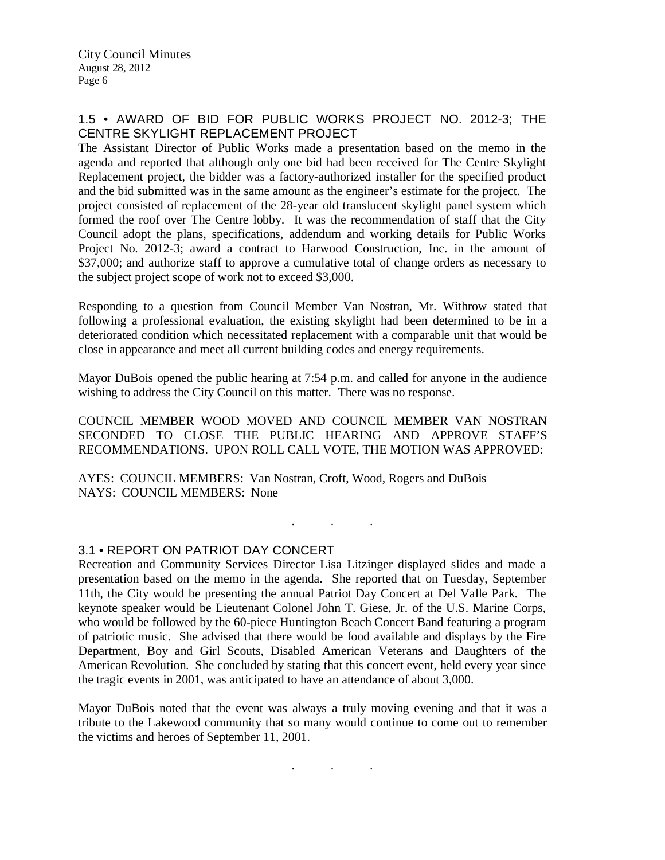## 1.5 • AWARD OF BID FOR PUBLIC WORKS PROJECT NO. 2012-3; THE CENTRE SKYLIGHT REPLACEMENT PROJECT

The Assistant Director of Public Works made a presentation based on the memo in the agenda and reported that although only one bid had been received for The Centre Skylight Replacement project, the bidder was a factory-authorized installer for the specified product and the bid submitted was in the same amount as the engineer's estimate for the project. The project consisted of replacement of the 28-year old translucent skylight panel system which formed the roof over The Centre lobby. It was the recommendation of staff that the City Council adopt the plans, specifications, addendum and working details for Public Works Project No. 2012-3; award a contract to Harwood Construction, Inc. in the amount of \$37,000; and authorize staff to approve a cumulative total of change orders as necessary to the subject project scope of work not to exceed \$3,000.

Responding to a question from Council Member Van Nostran, Mr. Withrow stated that following a professional evaluation, the existing skylight had been determined to be in a deteriorated condition which necessitated replacement with a comparable unit that would be close in appearance and meet all current building codes and energy requirements.

Mayor DuBois opened the public hearing at 7:54 p.m. and called for anyone in the audience wishing to address the City Council on this matter. There was no response.

COUNCIL MEMBER WOOD MOVED AND COUNCIL MEMBER VAN NOSTRAN SECONDED TO CLOSE THE PUBLIC HEARING AND APPROVE STAFF'S RECOMMENDATIONS. UPON ROLL CALL VOTE, THE MOTION WAS APPROVED:

. . .

AYES: COUNCIL MEMBERS: Van Nostran, Croft, Wood, Rogers and DuBois NAYS: COUNCIL MEMBERS: None

## 3.1 • REPORT ON PATRIOT DAY CONCERT

Recreation and Community Services Director Lisa Litzinger displayed slides and made a presentation based on the memo in the agenda. She reported that on Tuesday, September 11th, the City would be presenting the annual Patriot Day Concert at Del Valle Park. The keynote speaker would be Lieutenant Colonel John T. Giese, Jr. of the U.S. Marine Corps, who would be followed by the 60-piece Huntington Beach Concert Band featuring a program of patriotic music. She advised that there would be food available and displays by the Fire Department, Boy and Girl Scouts, Disabled American Veterans and Daughters of the American Revolution. She concluded by stating that this concert event, held every year since the tragic events in 2001, was anticipated to have an attendance of about 3,000.

Mayor DuBois noted that the event was always a truly moving evening and that it was a tribute to the Lakewood community that so many would continue to come out to remember the victims and heroes of September 11, 2001.

. . .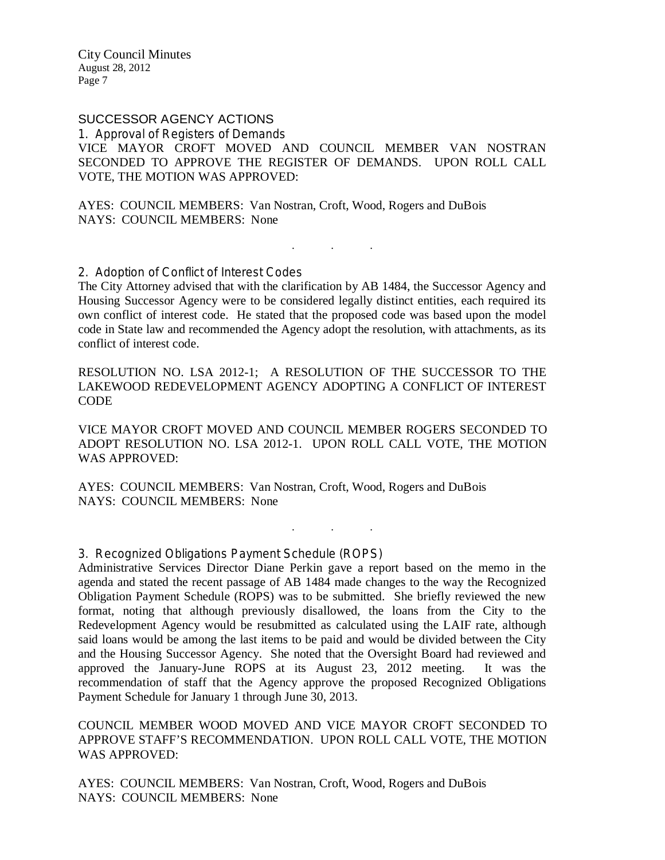# SUCCESSOR AGENCY ACTIONS

1. Approval of Registers of Demands VICE MAYOR CROFT MOVED AND COUNCIL MEMBER VAN NOSTRAN SECONDED TO APPROVE THE REGISTER OF DEMANDS. UPON ROLL CALL VOTE, THE MOTION WAS APPROVED:

AYES: COUNCIL MEMBERS: Van Nostran, Croft, Wood, Rogers and DuBois NAYS: COUNCIL MEMBERS: None

2. Adoption of Conflict of Interest Codes

The City Attorney advised that with the clarification by AB 1484, the Successor Agency and Housing Successor Agency were to be considered legally distinct entities, each required its own conflict of interest code. He stated that the proposed code was based upon the model code in State law and recommended the Agency adopt the resolution, with attachments, as its conflict of interest code.

. . .

RESOLUTION NO. LSA 2012-1; A RESOLUTION OF THE SUCCESSOR TO THE LAKEWOOD REDEVELOPMENT AGENCY ADOPTING A CONFLICT OF INTEREST CODE

VICE MAYOR CROFT MOVED AND COUNCIL MEMBER ROGERS SECONDED TO ADOPT RESOLUTION NO. LSA 2012-1. UPON ROLL CALL VOTE, THE MOTION WAS APPROVED:

. . .

AYES: COUNCIL MEMBERS: Van Nostran, Croft, Wood, Rogers and DuBois NAYS: COUNCIL MEMBERS: None

3. Recognized Obligations Payment Schedule (ROPS)

Administrative Services Director Diane Perkin gave a report based on the memo in the agenda and stated the recent passage of AB 1484 made changes to the way the Recognized Obligation Payment Schedule (ROPS) was to be submitted. She briefly reviewed the new format, noting that although previously disallowed, the loans from the City to the Redevelopment Agency would be resubmitted as calculated using the LAIF rate, although said loans would be among the last items to be paid and would be divided between the City and the Housing Successor Agency. She noted that the Oversight Board had reviewed and approved the January-June ROPS at its August 23, 2012 meeting. It was the recommendation of staff that the Agency approve the proposed Recognized Obligations Payment Schedule for January 1 through June 30, 2013.

COUNCIL MEMBER WOOD MOVED AND VICE MAYOR CROFT SECONDED TO APPROVE STAFF'S RECOMMENDATION. UPON ROLL CALL VOTE, THE MOTION WAS APPROVED:

AYES: COUNCIL MEMBERS: Van Nostran, Croft, Wood, Rogers and DuBois NAYS: COUNCIL MEMBERS: None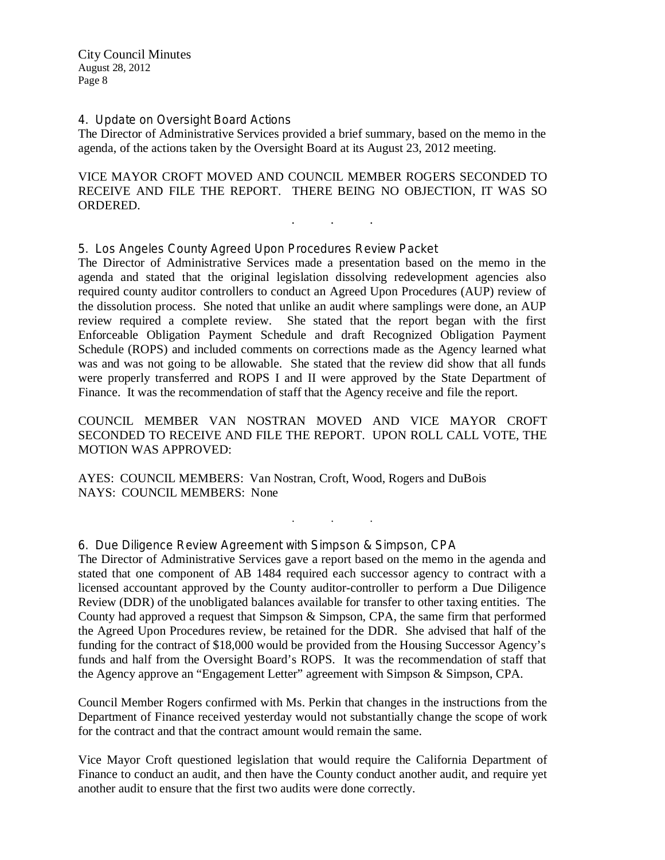#### 4. Update on Oversight Board Actions

The Director of Administrative Services provided a brief summary, based on the memo in the agenda, of the actions taken by the Oversight Board at its August 23, 2012 meeting.

VICE MAYOR CROFT MOVED AND COUNCIL MEMBER ROGERS SECONDED TO RECEIVE AND FILE THE REPORT. THERE BEING NO OBJECTION, IT WAS SO ORDERED.

. . .

#### 5. Los Angeles County Agreed Upon Procedures Review Packet

The Director of Administrative Services made a presentation based on the memo in the agenda and stated that the original legislation dissolving redevelopment agencies also required county auditor controllers to conduct an Agreed Upon Procedures (AUP) review of the dissolution process. She noted that unlike an audit where samplings were done, an AUP review required a complete review. She stated that the report began with the first Enforceable Obligation Payment Schedule and draft Recognized Obligation Payment Schedule (ROPS) and included comments on corrections made as the Agency learned what was and was not going to be allowable. She stated that the review did show that all funds were properly transferred and ROPS I and II were approved by the State Department of Finance. It was the recommendation of staff that the Agency receive and file the report.

COUNCIL MEMBER VAN NOSTRAN MOVED AND VICE MAYOR CROFT SECONDED TO RECEIVE AND FILE THE REPORT. UPON ROLL CALL VOTE, THE MOTION WAS APPROVED:

. . .

AYES: COUNCIL MEMBERS: Van Nostran, Croft, Wood, Rogers and DuBois NAYS: COUNCIL MEMBERS: None

6. Due Diligence Review Agreement with Simpson & Simpson, CPA

The Director of Administrative Services gave a report based on the memo in the agenda and stated that one component of AB 1484 required each successor agency to contract with a licensed accountant approved by the County auditor-controller to perform a Due Diligence Review (DDR) of the unobligated balances available for transfer to other taxing entities. The County had approved a request that Simpson & Simpson, CPA, the same firm that performed the Agreed Upon Procedures review, be retained for the DDR. She advised that half of the funding for the contract of \$18,000 would be provided from the Housing Successor Agency's funds and half from the Oversight Board's ROPS. It was the recommendation of staff that the Agency approve an "Engagement Letter" agreement with Simpson & Simpson, CPA.

Council Member Rogers confirmed with Ms. Perkin that changes in the instructions from the Department of Finance received yesterday would not substantially change the scope of work for the contract and that the contract amount would remain the same.

Vice Mayor Croft questioned legislation that would require the California Department of Finance to conduct an audit, and then have the County conduct another audit, and require yet another audit to ensure that the first two audits were done correctly.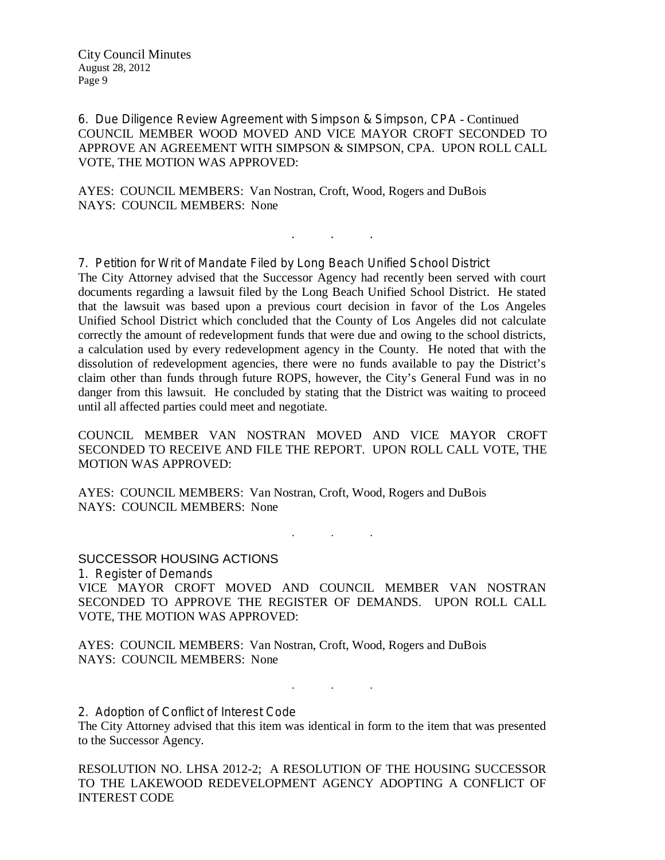6. Due Diligence Review Agreement with Simpson & Simpson, CPA - Continued COUNCIL MEMBER WOOD MOVED AND VICE MAYOR CROFT SECONDED TO APPROVE AN AGREEMENT WITH SIMPSON & SIMPSON, CPA. UPON ROLL CALL VOTE, THE MOTION WAS APPROVED:

. . .

AYES: COUNCIL MEMBERS: Van Nostran, Croft, Wood, Rogers and DuBois NAYS: COUNCIL MEMBERS: None

7. Petition for Writ of Mandate Filed by Long Beach Unified School District The City Attorney advised that the Successor Agency had recently been served with court documents regarding a lawsuit filed by the Long Beach Unified School District. He stated that the lawsuit was based upon a previous court decision in favor of the Los Angeles Unified School District which concluded that the County of Los Angeles did not calculate correctly the amount of redevelopment funds that were due and owing to the school districts, a calculation used by every redevelopment agency in the County. He noted that with the dissolution of redevelopment agencies, there were no funds available to pay the District's claim other than funds through future ROPS, however, the City's General Fund was in no danger from this lawsuit. He concluded by stating that the District was waiting to proceed until all affected parties could meet and negotiate.

COUNCIL MEMBER VAN NOSTRAN MOVED AND VICE MAYOR CROFT SECONDED TO RECEIVE AND FILE THE REPORT. UPON ROLL CALL VOTE, THE MOTION WAS APPROVED:

AYES: COUNCIL MEMBERS: Van Nostran, Croft, Wood, Rogers and DuBois NAYS: COUNCIL MEMBERS: None

. . .

SUCCESSOR HOUSING ACTIONS 1. Register of Demands VICE MAYOR CROFT MOVED AND COUNCIL MEMBER VAN NOSTRAN SECONDED TO APPROVE THE REGISTER OF DEMANDS. UPON ROLL CALL VOTE, THE MOTION WAS APPROVED:

AYES: COUNCIL MEMBERS: Van Nostran, Croft, Wood, Rogers and DuBois NAYS: COUNCIL MEMBERS: None

2. Adoption of Conflict of Interest Code

The City Attorney advised that this item was identical in form to the item that was presented to the Successor Agency.

. . .

RESOLUTION NO. LHSA 2012-2; A RESOLUTION OF THE HOUSING SUCCESSOR TO THE LAKEWOOD REDEVELOPMENT AGENCY ADOPTING A CONFLICT OF INTEREST CODE